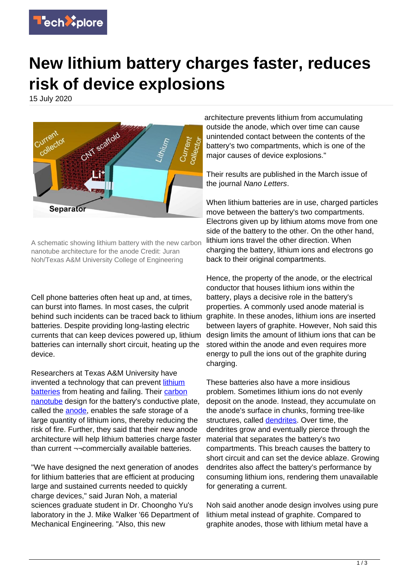

## **New lithium battery charges faster, reduces risk of device explosions**

15 July 2020



A schematic showing lithium battery with the new carbon nanotube architecture for the anode Credit: Juran Noh/Texas A&M University College of Engineering

Cell phone batteries often heat up and, at times, can burst into flames. In most cases, the culprit behind such incidents can be traced back to lithium batteries. Despite providing long-lasting electric currents that can keep devices powered up, lithium batteries can internally short circuit, heating up the device.

Researchers at Texas A&M University have invented a technology that can prevent [lithium](https://techxplore.com/tags/lithium+batteries/) [batteries](https://techxplore.com/tags/lithium+batteries/) from heating and failing. Their [carbon](https://techxplore.com/tags/carbon+nanotube/) [nanotube](https://techxplore.com/tags/carbon+nanotube/) design for the battery's conductive plate, called the [anode](https://techxplore.com/tags/anode/), enables the safe storage of a large quantity of lithium ions, thereby reducing the risk of fire. Further, they said that their new anode architecture will help lithium batteries charge faster than current ¬¬commercially available batteries.

"We have designed the next generation of anodes for lithium batteries that are efficient at producing large and sustained currents needed to quickly charge devices," said Juran Noh, a material sciences graduate student in Dr. Choongho Yu's laboratory in the J. Mike Walker '66 Department of Mechanical Engineering. "Also, this new

architecture prevents lithium from accumulating outside the anode, which over time can cause unintended contact between the contents of the battery's two compartments, which is one of the major causes of device explosions."

Their results are published in the March issue of the journal Nano Letters.

When lithium batteries are in use, charged particles move between the battery's two compartments. Electrons given up by lithium atoms move from one side of the battery to the other. On the other hand, lithium ions travel the other direction. When charging the battery, lithium ions and electrons go back to their original compartments.

Hence, the property of the anode, or the electrical conductor that houses lithium ions within the battery, plays a decisive role in the battery's properties. A commonly used anode material is graphite. In these anodes, lithium ions are inserted between layers of graphite. However, Noh said this design limits the amount of lithium ions that can be stored within the anode and even requires more energy to pull the ions out of the graphite during charging.

These batteries also have a more insidious problem. Sometimes lithium ions do not evenly deposit on the anode. Instead, they accumulate on the anode's surface in chunks, forming tree-like structures, called [dendrites.](https://techxplore.com/tags/dendrites/) Over time, the dendrites grow and eventually pierce through the material that separates the battery's two compartments. This breach causes the battery to short circuit and can set the device ablaze. Growing dendrites also affect the battery's performance by consuming lithium ions, rendering them unavailable for generating a current.

Noh said another anode design involves using pure lithium metal instead of graphite. Compared to graphite anodes, those with lithium metal have a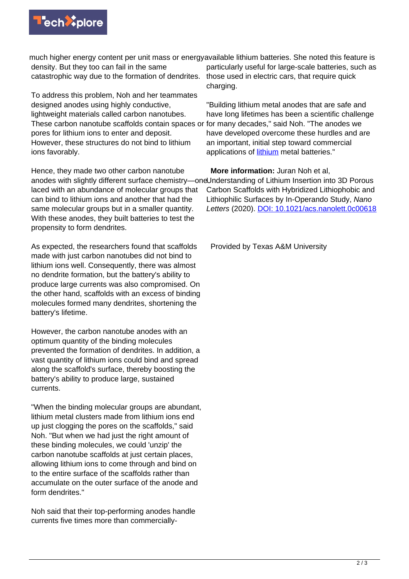

density. But they too can fail in the same catastrophic way due to the formation of dendrites.

To address this problem, Noh and her teammates designed anodes using highly conductive, lightweight materials called carbon nanotubes. These carbon nanotube scaffolds contain spaces or pores for lithium ions to enter and deposit. However, these structures do not bind to lithium ions favorably.

Hence, they made two other carbon nanotube anodes with slightly different surface chemistry—one Understanding of Lithium Insertion into 3D Porous laced with an abundance of molecular groups that can bind to lithium ions and another that had the same molecular groups but in a smaller quantity. With these anodes, they built batteries to test the propensity to form dendrites.

As expected, the researchers found that scaffolds made with just carbon nanotubes did not bind to lithium ions well. Consequently, there was almost no dendrite formation, but the battery's ability to produce large currents was also compromised. On the other hand, scaffolds with an excess of binding molecules formed many dendrites, shortening the battery's lifetime.

However, the carbon nanotube anodes with an optimum quantity of the binding molecules prevented the formation of dendrites. In addition, a vast quantity of lithium ions could bind and spread along the scaffold's surface, thereby boosting the battery's ability to produce large, sustained currents.

"When the binding molecular groups are abundant, lithium metal clusters made from lithium ions end up just clogging the pores on the scaffolds," said Noh. "But when we had just the right amount of these binding molecules, we could 'unzip' the carbon nanotube scaffolds at just certain places, allowing lithium ions to come through and bind on to the entire surface of the scaffolds rather than accumulate on the outer surface of the anode and form dendrites."

Noh said that their top-performing anodes handle currents five times more than commercially-

much higher energy content per unit mass or energy available lithium batteries. She noted this feature is particularly useful for large-scale batteries, such as those used in electric cars, that require quick charging.

> "Building lithium metal anodes that are safe and have long lifetimes has been a scientific challenge for many decades," said Noh. "The anodes we have developed overcome these hurdles and are an important, initial step toward commercial applications of [lithium](https://techxplore.com/tags/lithium/) metal batteries."

 **More information:** Juran Noh et al, Carbon Scaffolds with Hybridized Lithiophobic and Lithiophilic Surfaces by In-Operando Study, Nano Letters (2020). [DOI: 10.1021/acs.nanolett.0c00618](http://dx.doi.org/10.1021/acs.nanolett.0c00618)

Provided by Texas A&M University